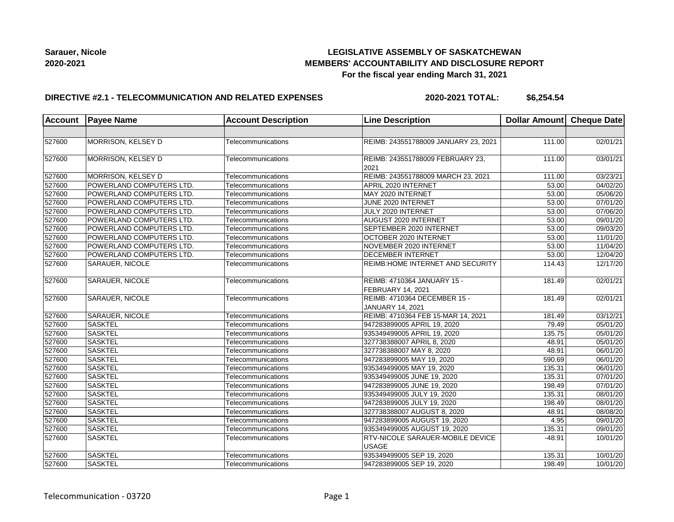## **LEGISLATIVE ASSEMBLY OF SASKATCHEWAN MEMBERS' ACCOUNTABILITY AND DISCLOSURE REPORT For the fiscal year ending March 31, 2021**

### **DIRECTIVE #2.1 - TELECOMMUNICATION AND RELATED EXPENSES**

**2020-2021 TOTAL: \$6,254.54**

| <b>Account</b> | <b>Payee Name</b>        | <b>Account Description</b> | <b>Line Description</b>                                 | Dollar Amount Cheque Date |                       |
|----------------|--------------------------|----------------------------|---------------------------------------------------------|---------------------------|-----------------------|
|                |                          |                            |                                                         |                           |                       |
| 527600         | MORRISON, KELSEY D       | Telecommunications         | REIMB: 243551788009 JANUARY 23, 2021                    | 111.00                    | 02/01/21              |
| 527600         | MORRISON, KELSEY D       | Telecommunications         | REIMB: 243551788009 FEBRUARY 23,<br>2021                | 111.00                    | 03/01/21              |
| 527600         | MORRISON, KELSEY D       | Telecommunications         | REIMB: 243551788009 MARCH 23, 2021                      | 111.00                    | 03/23/21              |
| 527600         | POWERLAND COMPUTERS LTD. | Telecommunications         | APRIL 2020 INTERNET                                     | 53.00                     | 04/02/20              |
| 527600         | POWERLAND COMPUTERS LTD. | Telecommunications         | MAY 2020 INTERNET                                       | 53.00                     | 05/06/20              |
| 527600         | POWERLAND COMPUTERS LTD. | Telecommunications         | JUNE 2020 INTERNET                                      | 53.00                     | 07/01/20              |
| 527600         | POWERLAND COMPUTERS LTD. | Telecommunications         | JULY 2020 INTERNET                                      | 53.00                     | 07/06/20              |
| 527600         | POWERLAND COMPUTERS LTD. | Telecommunications         | AUGUST 2020 INTERNET                                    | 53.00                     | 09/01/20              |
| 527600         | POWERLAND COMPUTERS LTD. | Telecommunications         | SEPTEMBER 2020 INTERNET                                 | 53.00                     | 09/03/20              |
| 527600         | POWERLAND COMPUTERS LTD. | Telecommunications         | OCTOBER 2020 INTERNET                                   | 53.00                     | 11/01/20              |
| 527600         | POWERLAND COMPUTERS LTD. | Telecommunications         | NOVEMBER 2020 INTERNET                                  | 53.00                     | 11/04/20              |
| 527600         | POWERLAND COMPUTERS LTD. | Telecommunications         | <b>DECEMBER INTERNET</b>                                | 53.00                     | 12/04/20              |
| 527600         | <b>SARAUER, NICOLE</b>   | Telecommunications         | <b>REIMB:HOME INTERNET AND SECURITY</b>                 | 114.43                    | 12/17/20              |
| 527600         | <b>SARAUER, NICOLE</b>   | Telecommunications         | REIMB: 4710364 JANUARY 15 -<br><b>FEBRUARY 14, 2021</b> | 181.49                    | 02/01/21              |
| 527600         | SARAUER, NICOLE          | Telecommunications         | REIMB: 4710364 DECEMBER 15 -<br><b>JANUARY 14, 2021</b> | 181.49                    | 02/01/21              |
| 527600         | SARAUER, NICOLE          | Telecommunications         | REIMB: 4710364 FEB 15-MAR 14, 2021                      | 181.49                    | 03/12/21              |
| 527600         | <b>SASKTEL</b>           | Telecommunications         | 947283899005 APRIL 19, 2020                             | 79.49                     | 05/01/20              |
| 527600         | <b>SASKTEL</b>           | Telecommunications         | 935349499005 APRIL 19, 2020                             | 135.75                    | 05/01/20              |
| 527600         | <b>SASKTEL</b>           | Telecommunications         | 327738388007 APRIL 8, 2020                              | 48.91                     | $\overline{05}/01/20$ |
| 527600         | <b>SASKTEL</b>           | Telecommunications         | 327738388007 MAY 8, 2020                                | 48.91                     | 06/01/20              |
| 527600         | <b>SASKTEL</b>           | Telecommunications         | 947283899005 MAY 19, 2020                               | 590.69                    | 06/01/20              |
| 527600         | <b>SASKTEL</b>           | Telecommunications         | 935349499005 MAY 19, 2020                               | 135.31                    | 06/01/20              |
| 527600         | <b>SASKTEL</b>           | Telecommunications         | 935349499005 JUNE 19, 2020                              | 135.31                    | 07/01/20              |
| 527600         | <b>SASKTEL</b>           | Telecommunications         | 947283899005 JUNE 19, 2020                              | 198.49                    | $\overline{07}/01/20$ |
| 527600         | <b>SASKTEL</b>           | Telecommunications         | 935349499005 JULY 19, 2020                              | 135.31                    | 08/01/20              |
| 527600         | <b>SASKTEL</b>           | Telecommunications         | 947283899005 JULY 19, 2020                              | 198.49                    | 08/01/20              |
| 527600         | <b>SASKTEL</b>           | Telecommunications         | 327738388007 AUGUST 8, 2020                             | 48.91                     | 08/08/20              |
| 527600         | <b>SASKTEL</b>           | Telecommunications         | 947283899005 AUGUST 19, 2020                            | 4.95                      | 09/01/20              |
| 527600         | <b>SASKTEL</b>           | Telecommunications         | 935349499005 AUGUST 19, 2020                            | 135.31                    | 09/01/20              |
| 527600         | <b>SASKTEL</b>           | Telecommunications         | RTV-NICOLE SARAUER-MOBILE DEVICE<br><b>USAGE</b>        | $-48.91$                  | 10/01/20              |
| 527600         | <b>SASKTEL</b>           | Telecommunications         | 935349499005 SEP 19, 2020                               | 135.31                    | 10/01/20              |
| 527600         | <b>SASKTEL</b>           | Telecommunications         | 947283899005 SEP 19, 2020                               | 198.49                    | 10/01/20              |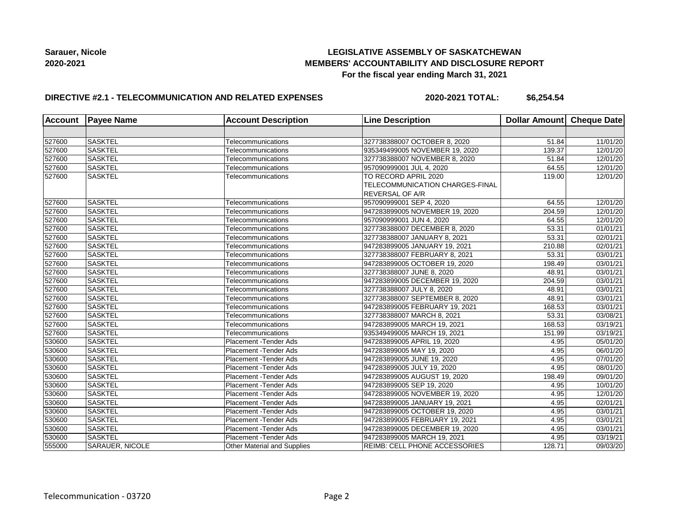## **LEGISLATIVE ASSEMBLY OF SASKATCHEWAN MEMBERS' ACCOUNTABILITY AND DISCLOSURE REPORT For the fiscal year ending March 31, 2021**

## **DIRECTIVE #2.1 - TELECOMMUNICATION AND RELATED EXPENSES**

**2020-2021 TOTAL: \$6,254.54**

| Account | <b>Payee Name</b>      | <b>Account Description</b>         | <b>Line Description</b>              | Dollar Amount Cheque Date |                       |
|---------|------------------------|------------------------------------|--------------------------------------|---------------------------|-----------------------|
|         |                        |                                    |                                      |                           |                       |
| 527600  | <b>SASKTEL</b>         | Telecommunications                 | 327738388007 OCTOBER 8, 2020         | 51.84                     | 11/01/20              |
| 527600  | <b>SASKTEL</b>         | Telecommunications                 | 935349499005 NOVEMBER 19, 2020       | 139.37                    | 12/01/20              |
| 527600  | <b>SASKTEL</b>         | Telecommunications                 | 327738388007 NOVEMBER 8, 2020        | 51.84                     | 12/01/20              |
| 527600  | <b>SASKTEL</b>         | Telecommunications                 | 957090999001 JUL 4, 2020             | 64.55                     | 12/01/20              |
| 527600  | <b>SASKTEL</b>         | Telecommunications                 | TO RECORD APRIL 2020                 | 119.00                    | 12/01/20              |
|         |                        |                                    | TELECOMMUNICATION CHARGES-FINAL      |                           |                       |
|         |                        |                                    | <b>REVERSAL OF A/R</b>               |                           |                       |
| 527600  | SASKTEL                | Telecommunications                 | 957090999001 SEP 4, 2020             | 64.55                     | 12/01/20              |
| 527600  | <b>SASKTEL</b>         | Telecommunications                 | 947283899005 NOVEMBER 19, 2020       | 204.59                    | 12/01/20              |
| 527600  | <b>SASKTEL</b>         | Telecommunications                 | 957090999001 JUN 4, 2020             | 64.55                     | 12/01/20              |
| 527600  | <b>SASKTEL</b>         | Telecommunications                 | 327738388007 DECEMBER 8, 2020        | 53.31                     | 01/01/21              |
| 527600  | <b>SASKTEL</b>         | Telecommunications                 | 327738388007 JANUARY 8, 2021         | 53.31                     | 02/01/21              |
| 527600  | <b>SASKTEL</b>         | Telecommunications                 | 947283899005 JANUARY 19, 2021        | 210.88                    | 02/01/21              |
| 527600  | <b>SASKTEL</b>         | Telecommunications                 | 327738388007 FEBRUARY 8, 2021        | 53.31                     | 03/01/21              |
| 527600  | <b>SASKTEL</b>         | Telecommunications                 | 947283899005 OCTOBER 19, 2020        | 198.49                    | 03/01/21              |
| 527600  | <b>SASKTEL</b>         | Telecommunications                 | 327738388007 JUNE 8, 2020            | 48.91                     | $\overline{03/0}1/21$ |
| 527600  | <b>SASKTEL</b>         | Telecommunications                 | 947283899005 DECEMBER 19, 2020       | 204.59                    | 03/01/21              |
| 527600  | <b>SASKTEL</b>         | Telecommunications                 | 327738388007 JULY 8, 2020            | 48.91                     | 03/01/21              |
| 527600  | <b>SASKTEL</b>         | Telecommunications                 | 327738388007 SEPTEMBER 8, 2020       | 48.91                     | 03/01/21              |
| 527600  | <b>SASKTEL</b>         | Telecommunications                 | 947283899005 FEBRUARY 19, 2021       | 168.53                    | 03/01/21              |
| 527600  | <b>SASKTEL</b>         | Telecommunications                 | 327738388007 MARCH 8, 2021           | 53.31                     | 03/08/21              |
| 527600  | <b>SASKTEL</b>         | Telecommunications                 | 947283899005 MARCH 19, 2021          | 168.53                    | 03/19/21              |
| 527600  | <b>SASKTEL</b>         | Telecommunications                 | 935349499005 MARCH 19, 2021          | 151.99                    | 03/19/21              |
| 530600  | <b>SASKTEL</b>         | Placement - Tender Ads             | 947283899005 APRIL 19, 2020          | 4.95                      | 05/01/20              |
| 530600  | <b>SASKTEL</b>         | Placement -Tender Ads              | 947283899005 MAY 19, 2020            | 4.95                      | 06/01/20              |
| 530600  | <b>SASKTEL</b>         | Placement - Tender Ads             | 947283899005 JUNE 19, 2020           | 4.95                      | 07/01/20              |
| 530600  | <b>SASKTEL</b>         | Placement - Tender Ads             | 947283899005 JULY 19, 2020           | 4.95                      | 08/01/20              |
| 530600  | <b>SASKTEL</b>         | Placement - Tender Ads             | 947283899005 AUGUST 19, 2020         | 198.49                    | 09/01/20              |
| 530600  | <b>SASKTEL</b>         | Placement - Tender Ads             | 947283899005 SEP 19, 2020            | 4.95                      | 10/01/20              |
| 530600  | <b>SASKTEL</b>         | Placement - Tender Ads             | 947283899005 NOVEMBER 19, 2020       | 4.95                      | 12/01/20              |
| 530600  | <b>SASKTEL</b>         | Placement - Tender Ads             | 947283899005 JANUARY 19, 2021        | 4.95                      | 02/01/21              |
| 530600  | <b>SASKTEL</b>         | Placement - Tender Ads             | 947283899005 OCTOBER 19, 2020        | 4.95                      | 03/01/21              |
| 530600  | <b>SASKTEL</b>         | Placement - Tender Ads             | 947283899005 FEBRUARY 19, 2021       | 4.95                      | 03/01/21              |
| 530600  | <b>SASKTEL</b>         | Placement - Tender Ads             | 947283899005 DECEMBER 19, 2020       | 4.95                      | 03/01/21              |
| 530600  | <b>SASKTEL</b>         | Placement - Tender Ads             | 947283899005 MARCH 19, 2021          | 4.95                      | 03/19/21              |
| 555000  | <b>SARAUER, NICOLE</b> | <b>Other Material and Supplies</b> | <b>REIMB: CELL PHONE ACCESSORIES</b> | 128.71                    | 09/03/20              |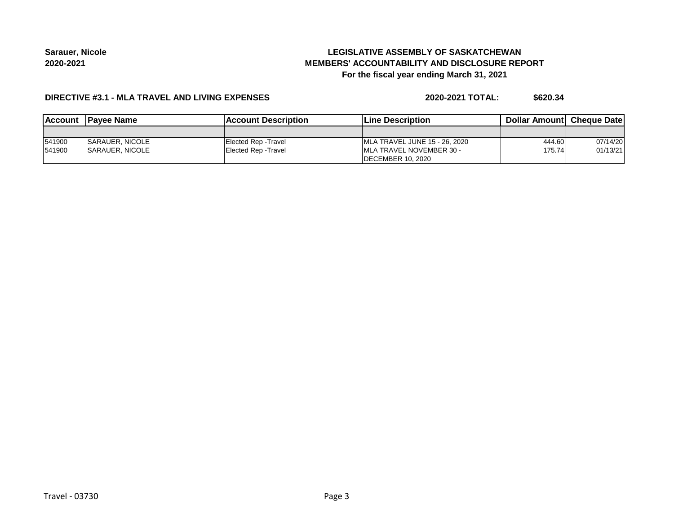# **LEGISLATIVE ASSEMBLY OF SASKATCHEWAN MEMBERS' ACCOUNTABILITY AND DISCLOSURE REPORT For the fiscal year ending March 31, 2021**

#### **DIRECTIVE #3.1 - MLA TRAVEL AND LIVING EXPENSES**

**2020-2021 TOTAL: \$620.34**

| <b>IAccount</b> | <b>IPavee Name</b>      | <b>IAccount Description</b> | <b>Line Description</b>          | <b>Dollar Amountl Cheque Date</b> |          |
|-----------------|-------------------------|-----------------------------|----------------------------------|-----------------------------------|----------|
|                 |                         |                             |                                  |                                   |          |
| 541900          | <b>ISARAUER, NICOLE</b> | Elected Rep - Travel        | IMLA TRAVEL JUNE 15 - 26, 2020   | 444.60                            | 07/14/20 |
| 541900          | <b>ISARAUER, NICOLE</b> | Elected Rep - Travel        | <b>IMLA TRAVEL NOVEMBER 30 -</b> | 175.74                            | 01/13/21 |
|                 |                         |                             | <b>IDECEMBER 10, 2020</b>        |                                   |          |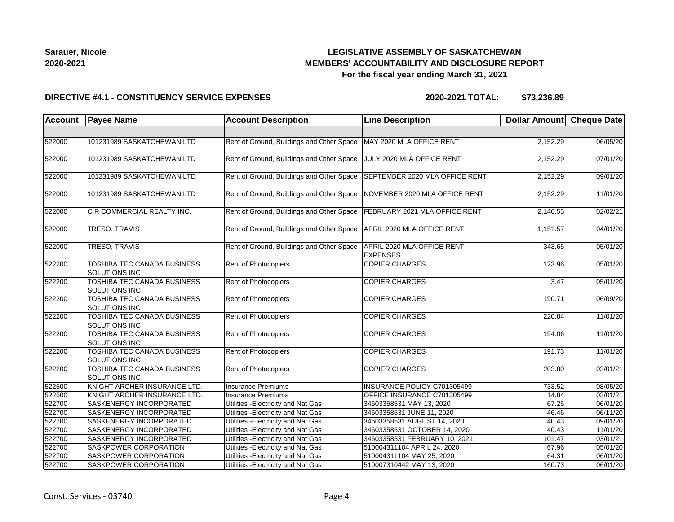## **LEGISLATIVE ASSEMBLY OF SASKATCHEWAN MEMBERS' ACCOUNTABILITY AND DISCLOSURE REPORT For the fiscal year ending March 31, 2021**

#### **DIRECTIVE #4.1 - CONSTITUENCY SERVICE EXPENSES**

| <b>Account</b> | <b>Payee Name</b>                                   | <b>Account Description</b>                | <b>Line Description</b>                       | Dollar Amount Cheque Date |          |
|----------------|-----------------------------------------------------|-------------------------------------------|-----------------------------------------------|---------------------------|----------|
|                |                                                     |                                           |                                               |                           |          |
| 522000         | 101231989 SASKATCHEWAN LTD                          | Rent of Ground, Buildings and Other Space | MAY 2020 MLA OFFICE RENT                      | 2,152.29                  | 06/05/20 |
| 522000         | 101231989 SASKATCHEWAN LTD                          | Rent of Ground, Buildings and Other Space | JULY 2020 MLA OFFICE RENT                     | 2,152.29                  | 07/01/20 |
| 522000         | 101231989 SASKATCHEWAN LTD                          | Rent of Ground, Buildings and Other Space | SEPTEMBER 2020 MLA OFFICE RENT                | 2,152.29                  | 09/01/20 |
| 522000         | 101231989 SASKATCHEWAN LTD                          | Rent of Ground, Buildings and Other Space | NOVEMBER 2020 MLA OFFICE RENT                 | 2,152.29                  | 11/01/20 |
| 522000         | CIR COMMERCIAL REALTY INC.                          | Rent of Ground, Buildings and Other Space | FEBRUARY 2021 MLA OFFICE RENT                 | 2,146.55                  | 02/02/21 |
| 522000         | TRESO, TRAVIS                                       | Rent of Ground, Buildings and Other Space | APRIL 2020 MLA OFFICE RENT                    | 1,151.57                  | 04/01/20 |
| 522000         | TRESO, TRAVIS                                       | Rent of Ground, Buildings and Other Space | APRIL 2020 MLA OFFICE RENT<br><b>EXPENSES</b> | 343.65                    | 05/01/20 |
| 522200         | TOSHIBA TEC CANADA BUSINESS<br>SOLUTIONS INC        | Rent of Photocopiers                      | <b>COPIER CHARGES</b>                         | 123.96                    | 05/01/20 |
| 522200         | TOSHIBA TEC CANADA BUSINESS<br>SOLUTIONS INC        | Rent of Photocopiers                      | <b>COPIER CHARGES</b>                         | 3.47                      | 05/01/20 |
| 522200         | TOSHIBA TEC CANADA BUSINESS<br><b>SOLUTIONS INC</b> | Rent of Photocopiers                      | <b>COPIER CHARGES</b>                         | 190.71                    | 06/09/20 |
| 522200         | TOSHIBA TEC CANADA BUSINESS<br><b>SOLUTIONS INC</b> | <b>Rent of Photocopiers</b>               | <b>COPIER CHARGES</b>                         | 220.84                    | 11/01/20 |
| 522200         | TOSHIBA TEC CANADA BUSINESS<br>SOLUTIONS INC        | <b>Rent of Photocopiers</b>               | <b>COPIER CHARGES</b>                         | 194.06                    | 11/01/20 |
| 522200         | TOSHIBA TEC CANADA BUSINESS<br>SOLUTIONS INC        | Rent of Photocopiers                      | <b>COPIER CHARGES</b>                         | 191.73                    | 11/01/20 |
| 522200         | TOSHIBA TEC CANADA BUSINESS<br><b>SOLUTIONS INC</b> | Rent of Photocopiers                      | <b>COPIER CHARGES</b>                         | 203.80                    | 03/01/21 |
| 522500         | KNIGHT ARCHER INSURANCE LTD.                        | Insurance Premiums                        | INSURANCE POLICY C701305499                   | 733.52                    | 08/05/20 |
| 522500         | KNIGHT ARCHER INSURANCE LTD.                        | Insurance Premiums                        | OFFICE INSURANCE C701305499                   | 14.84                     | 03/01/21 |
| 522700         | <b>SASKENERGY INCORPORATED</b>                      | Utilities - Electricity and Nat Gas       | 34603358531 MAY 13, 2020                      | 67.25                     | 06/01/20 |
| 522700         | <b>SASKENERGY INCORPORATED</b>                      | Utilities - Electricity and Nat Gas       | 34603358531 JUNE 11, 2020                     | 46.46                     | 06/11/20 |
| 522700         | <b>SASKENERGY INCORPORATED</b>                      | Utilities - Electricity and Nat Gas       | 34603358531 AUGUST 14, 2020                   | 40.43                     | 09/01/20 |
| 522700         | <b>SASKENERGY INCORPORATED</b>                      | Utilities - Electricity and Nat Gas       | 34603358531 OCTOBER 14, 2020                  | 40.43                     | 11/01/20 |
| 522700         | SASKENERGY INCORPORATED                             | Utilities - Electricity and Nat Gas       | 34603358531 FEBRUARY 10, 2021                 | 101.47                    | 03/01/21 |
| 522700         | <b>SASKPOWER CORPORATION</b>                        | Utilities - Electricity and Nat Gas       | 510004311104 APRIL 24, 2020                   | 67.96                     | 05/01/20 |
| 522700         | SASKPOWER CORPORATION                               | Utilities - Electricity and Nat Gas       | 510004311104 MAY 25, 2020                     | 64.31                     | 06/01/20 |
| 522700         | SASKPOWER CORPORATION                               | Utilities - Electricity and Nat Gas       | 510007310442 MAY 13, 2020                     | 160.73                    | 06/01/20 |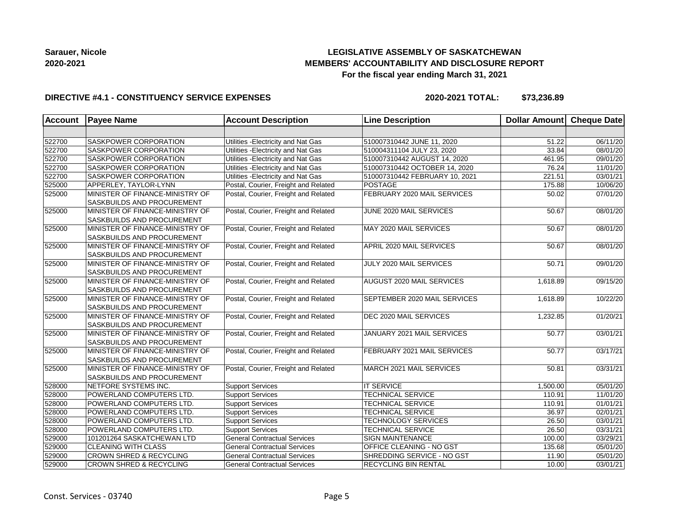# **LEGISLATIVE ASSEMBLY OF SASKATCHEWAN MEMBERS' ACCOUNTABILITY AND DISCLOSURE REPORT For the fiscal year ending March 31, 2021**

#### **DIRECTIVE #4.1 - CONSTITUENCY SERVICE EXPENSES**

| Account | <b>Payee Name</b>                                                    | <b>Account Description</b>           | <b>Line Description</b>             | Dollar Amount   Cheque Date |          |
|---------|----------------------------------------------------------------------|--------------------------------------|-------------------------------------|-----------------------------|----------|
|         |                                                                      |                                      |                                     |                             |          |
| 522700  | SASKPOWER CORPORATION                                                | Utilities - Electricity and Nat Gas  | 510007310442 JUNE 11, 2020          | 51.22                       | 06/11/20 |
| 522700  | SASKPOWER CORPORATION                                                | Utilities - Electricity and Nat Gas  | 510004311104 JULY 23, 2020          | 33.84                       | 08/01/20 |
| 522700  | <b>SASKPOWER CORPORATION</b>                                         | Utilities - Electricity and Nat Gas  | 510007310442 AUGUST 14, 2020        | 461.95                      | 09/01/20 |
| 522700  | <b>SASKPOWER CORPORATION</b>                                         | Utilities - Electricity and Nat Gas  | 510007310442 OCTOBER 14, 2020       | 76.24                       | 11/01/20 |
| 522700  | <b>SASKPOWER CORPORATION</b>                                         | Utilities - Electricity and Nat Gas  | 510007310442 FEBRUARY 10, 2021      | 221.51                      | 03/01/21 |
| 525000  | APPERLEY, TAYLOR-LYNN                                                | Postal, Courier, Freight and Related | POSTAGE                             | 175.88                      | 10/06/20 |
| 525000  | MINISTER OF FINANCE-MINISTRY OF<br>SASKBUILDS AND PROCUREMENT        | Postal, Courier, Freight and Related | FEBRUARY 2020 MAIL SERVICES         | 50.02                       | 07/01/20 |
| 525000  | MINISTER OF FINANCE-MINISTRY OF<br><b>SASKBUILDS AND PROCUREMENT</b> | Postal, Courier, Freight and Related | JUNE 2020 MAIL SERVICES             | 50.67                       | 08/01/20 |
| 525000  | MINISTER OF FINANCE-MINISTRY OF<br>SASKBUILDS AND PROCUREMENT        | Postal, Courier, Freight and Related | MAY 2020 MAIL SERVICES              | 50.67                       | 08/01/20 |
| 525000  | MINISTER OF FINANCE-MINISTRY OF<br><b>SASKBUILDS AND PROCUREMENT</b> | Postal, Courier, Freight and Related | APRIL 2020 MAIL SERVICES            | 50.67                       | 08/01/20 |
| 525000  | MINISTER OF FINANCE-MINISTRY OF<br><b>SASKBUILDS AND PROCUREMENT</b> | Postal, Courier, Freight and Related | JULY 2020 MAIL SERVICES             | 50.71                       | 09/01/20 |
| 525000  | MINISTER OF FINANCE-MINISTRY OF<br>SASKBUILDS AND PROCUREMENT        | Postal, Courier, Freight and Related | AUGUST 2020 MAIL SERVICES           | 1,618.89                    | 09/15/20 |
| 525000  | MINISTER OF FINANCE-MINISTRY OF<br><b>SASKBUILDS AND PROCUREMENT</b> | Postal, Courier, Freight and Related | <b>SEPTEMBER 2020 MAIL SERVICES</b> | 1,618.89                    | 10/22/20 |
| 525000  | MINISTER OF FINANCE-MINISTRY OF<br><b>SASKBUILDS AND PROCUREMENT</b> | Postal, Courier, Freight and Related | DEC 2020 MAIL SERVICES              | 1,232.85                    | 01/20/21 |
| 525000  | MINISTER OF FINANCE-MINISTRY OF<br><b>SASKBUILDS AND PROCUREMENT</b> | Postal, Courier, Freight and Related | JANUARY 2021 MAIL SERVICES          | 50.77                       | 03/01/21 |
| 525000  | MINISTER OF FINANCE-MINISTRY OF<br><b>SASKBUILDS AND PROCUREMENT</b> | Postal, Courier, Freight and Related | FEBRUARY 2021 MAIL SERVICES         | 50.77                       | 03/17/21 |
| 525000  | MINISTER OF FINANCE-MINISTRY OF<br>SASKBUILDS AND PROCUREMENT        | Postal, Courier, Freight and Related | MARCH 2021 MAIL SERVICES            | 50.81                       | 03/31/21 |
| 528000  | NETFORE SYSTEMS INC.                                                 | <b>Support Services</b>              | <b>IT SERVICE</b>                   | 1,500.00                    | 05/01/20 |
| 528000  | POWERLAND COMPUTERS LTD.                                             | <b>Support Services</b>              | <b>TECHNICAL SERVICE</b>            | 110.91                      | 11/01/20 |
| 528000  | POWERLAND COMPUTERS LTD.                                             | <b>Support Services</b>              | <b>TECHNICAL SERVICE</b>            | 110.91                      | 01/01/21 |
| 528000  | POWERLAND COMPUTERS LTD.                                             | <b>Support Services</b>              | <b>TECHNICAL SERVICE</b>            | 36.97                       | 02/01/21 |
| 528000  | POWERLAND COMPUTERS LTD.                                             | <b>Support Services</b>              | <b>TECHNOLOGY SERVICES</b>          | 26.50                       | 03/01/21 |
| 528000  | POWERLAND COMPUTERS LTD.                                             | <b>Support Services</b>              | <b>TECHNICAL SERVICE</b>            | 26.50                       | 03/31/21 |
| 529000  | 101201264 SASKATCHEWAN LTD                                           | <b>General Contractual Services</b>  | <b>SIGN MAINTENANCE</b>             | 100.00                      | 03/29/21 |
| 529000  | <b>CLEANING WITH CLASS</b>                                           | <b>General Contractual Services</b>  | OFFICE CLEANING - NO GST            | 135.68                      | 05/01/20 |
| 529000  | <b>CROWN SHRED &amp; RECYCLING</b>                                   | <b>General Contractual Services</b>  | SHREDDING SERVICE - NO GST          | 11.90                       | 05/01/20 |
| 529000  | <b>CROWN SHRED &amp; RECYCLING</b>                                   | <b>General Contractual Services</b>  | <b>RECYCLING BIN RENTAL</b>         | 10.00                       | 03/01/21 |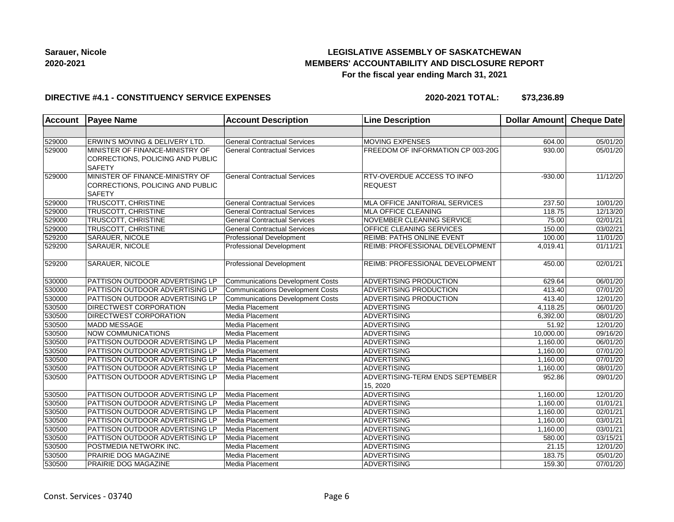## **LEGISLATIVE ASSEMBLY OF SASKATCHEWAN MEMBERS' ACCOUNTABILITY AND DISCLOSURE REPORT For the fiscal year ending March 31, 2021**

#### **DIRECTIVE #4.1 - CONSTITUENCY SERVICE EXPENSES**

| Account | <b>Payee Name</b>                                                                    | <b>Account Description</b>              | <b>Line Description</b>                             | Dollar Amount Cheque Date |          |
|---------|--------------------------------------------------------------------------------------|-----------------------------------------|-----------------------------------------------------|---------------------------|----------|
|         |                                                                                      |                                         |                                                     |                           |          |
| 529000  | ERWIN'S MOVING & DELIVERY LTD.                                                       | <b>General Contractual Services</b>     | MOVING EXPENSES                                     | 604.00                    | 05/01/20 |
| 529000  | MINISTER OF FINANCE-MINISTRY OF<br>CORRECTIONS, POLICING AND PUBLIC<br><b>SAFETY</b> | <b>General Contractual Services</b>     | FREEDOM OF INFORMATION CP 003-20G                   | 930.00                    | 05/01/20 |
| 529000  | MINISTER OF FINANCE-MINISTRY OF<br>CORRECTIONS, POLICING AND PUBLIC<br><b>SAFETY</b> | <b>General Contractual Services</b>     | <b>RTV-OVERDUE ACCESS TO INFO</b><br><b>REQUEST</b> | $-930.00$                 | 11/12/20 |
| 529000  | <b>TRUSCOTT, CHRISTINE</b>                                                           | <b>General Contractual Services</b>     | MLA OFFICE JANITORIAL SERVICES                      | 237.50                    | 10/01/20 |
| 529000  | TRUSCOTT, CHRISTINE                                                                  | <b>General Contractual Services</b>     | MLA OFFICE CLEANING                                 | 118.75                    | 12/13/20 |
| 529000  | TRUSCOTT, CHRISTINE                                                                  | <b>General Contractual Services</b>     | NOVEMBER CLEANING SERVICE                           | 75.00                     | 02/01/21 |
| 529000  | TRUSCOTT, CHRISTINE                                                                  | <b>General Contractual Services</b>     | OFFICE CLEANING SERVICES                            | 150.00                    | 03/02/21 |
| 529200  | SARAUER, NICOLE                                                                      | Professional Development                | REIMB: PATHS ONLINE EVENT                           | 100.00                    | 11/01/20 |
| 529200  | SARAUER, NICOLE                                                                      | Professional Development                | REIMB: PROFESSIONAL DEVELOPMENT                     | 4,019.41                  | 01/11/21 |
| 529200  | <b>SARAUER, NICOLE</b>                                                               | <b>Professional Development</b>         | <b>REIMB: PROFESSIONAL DEVELOPMENT</b>              | 450.00                    | 02/01/21 |
| 530000  | PATTISON OUTDOOR ADVERTISING LP                                                      | <b>Communications Development Costs</b> | ADVERTISING PRODUCTION                              | 629.64                    | 06/01/20 |
| 530000  | PATTISON OUTDOOR ADVERTISING LP                                                      | <b>Communications Development Costs</b> | ADVERTISING PRODUCTION                              | 413.40                    | 07/01/20 |
| 530000  | PATTISON OUTDOOR ADVERTISING LP                                                      | <b>Communications Development Costs</b> | ADVERTISING PRODUCTION                              | 413.40                    | 12/01/20 |
| 530500  | DIRECTWEST CORPORATION                                                               | Media Placement                         | <b>ADVERTISING</b>                                  | 4,118.25                  | 06/01/20 |
| 530500  | DIRECTWEST CORPORATION                                                               | Media Placement                         | ADVERTISING                                         | 6,392.00                  | 08/01/20 |
| 530500  | <b>MADD MESSAGE</b>                                                                  | Media Placement                         | <b>ADVERTISING</b>                                  | 51.92                     | 12/01/20 |
| 530500  | <b>NOW COMMUNICATIONS</b>                                                            | Media Placement                         | <b>ADVERTISING</b>                                  | 10,000.00                 | 09/16/20 |
| 530500  | PATTISON OUTDOOR ADVERTISING LP                                                      | Media Placement                         | <b>ADVERTISING</b>                                  | 1,160.00                  | 06/01/20 |
| 530500  | PATTISON OUTDOOR ADVERTISING LP                                                      | Media Placement                         | <b>ADVERTISING</b>                                  | 1,160.00                  | 07/01/20 |
| 530500  | PATTISON OUTDOOR ADVERTISING LP                                                      | Media Placement                         | ADVERTISING                                         | 1,160.00                  | 07/01/20 |
| 530500  | PATTISON OUTDOOR ADVERTISING LP                                                      | Media Placement                         | ADVERTISING                                         | 1,160.00                  | 08/01/20 |
| 530500  | PATTISON OUTDOOR ADVERTISING LP                                                      | Media Placement                         | ADVERTISING-TERM ENDS SEPTEMBER                     | 952.86                    | 09/01/20 |
|         |                                                                                      |                                         | 15, 2020                                            |                           |          |
| 530500  | PATTISON OUTDOOR ADVERTISING LP                                                      | Media Placement                         | <b>ADVERTISING</b>                                  | 1,160.00                  | 12/01/20 |
| 530500  | PATTISON OUTDOOR ADVERTISING LP                                                      | Media Placement                         | <b>ADVERTISING</b>                                  | 1,160.00                  | 01/01/21 |
| 530500  | PATTISON OUTDOOR ADVERTISING LP                                                      | Media Placement                         | ADVERTISING                                         | 1,160.00                  | 02/01/21 |
| 530500  | PATTISON OUTDOOR ADVERTISING LP                                                      | Media Placement                         | ADVERTISING                                         | 1,160.00                  | 03/01/21 |
| 530500  | PATTISON OUTDOOR ADVERTISING LP                                                      | Media Placement                         | <b>ADVERTISING</b>                                  | 1,160.00                  | 03/01/21 |
| 530500  | PATTISON OUTDOOR ADVERTISING LP                                                      | Media Placement                         | <b>ADVERTISING</b>                                  | 580.00                    | 03/15/21 |
| 530500  | POSTMEDIA NETWORK INC.                                                               | Media Placement                         | <b>ADVERTISING</b>                                  | 21.15                     | 12/01/20 |
| 530500  | PRAIRIE DOG MAGAZINE                                                                 | Media Placement                         | <b>ADVERTISING</b>                                  | 183.75                    | 05/01/20 |
| 530500  | PRAIRIE DOG MAGAZINE                                                                 | Media Placement                         | ADVERTISING                                         | 159.30                    | 07/01/20 |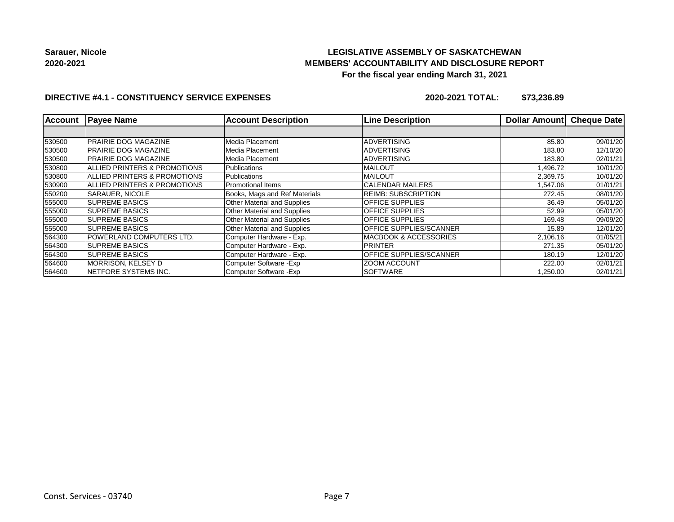## **LEGISLATIVE ASSEMBLY OF SASKATCHEWAN MEMBERS' ACCOUNTABILITY AND DISCLOSURE REPORT For the fiscal year ending March 31, 2021**

### **DIRECTIVE #4.1 - CONSTITUENCY SERVICE EXPENSES**

| <b>Account</b> | <b>Payee Name</b>            | <b>Account Description</b>         | <b>Line Description</b>    | <b>Dollar Amountl</b> | <b>Cheque Date</b> |
|----------------|------------------------------|------------------------------------|----------------------------|-----------------------|--------------------|
|                |                              |                                    |                            |                       |                    |
| 530500         | <b>PRAIRIE DOG MAGAZINE</b>  | Media Placement                    | <b>ADVERTISING</b>         | 85.80                 | 09/01/20           |
| 530500         | <b>PRAIRIE DOG MAGAZINE</b>  | Media Placement                    | <b>ADVERTISING</b>         | 183.80                | 12/10/20           |
| 530500         | PRAIRIE DOG MAGAZINE         | Media Placement                    | <b>ADVERTISING</b>         | 183.80                | 02/01/21           |
| 530800         | ALLIED PRINTERS & PROMOTIONS | <b>Publications</b>                | <b>MAILOUT</b>             | 1,496.72              | 10/01/20           |
| 530800         | ALLIED PRINTERS & PROMOTIONS | Publications                       | <b>MAILOUT</b>             | 2,369.75              | 10/01/20           |
| 530900         | ALLIED PRINTERS & PROMOTIONS | <b>Promotional Items</b>           | <b>CALENDAR MAILERS</b>    | 1,547.06              | 01/01/21           |
| 550200         | SARAUER, NICOLE              | Books, Mags and Ref Materials      | <b>REIMB: SUBSCRIPTION</b> | 272.45                | 08/01/20           |
| 555000         | <b>SUPREME BASICS</b>        | <b>Other Material and Supplies</b> | <b>OFFICE SUPPLIES</b>     | 36.49                 | 05/01/20           |
| 555000         | <b>SUPREME BASICS</b>        | <b>Other Material and Supplies</b> | <b>OFFICE SUPPLIES</b>     | 52.99                 | 05/01/20           |
| 555000         | <b>SUPREME BASICS</b>        | <b>Other Material and Supplies</b> | <b>OFFICE SUPPLIES</b>     | 169.48                | 09/09/20           |
| 555000         | <b>SUPREME BASICS</b>        | Other Material and Supplies        | OFFICE SUPPLIES/SCANNER    | 15.89                 | 12/01/20           |
| 564300         | POWERLAND COMPUTERS LTD.     | Computer Hardware - Exp.           | MACBOOK & ACCESSORIES      | 2,106.16              | 01/05/21           |
| 564300         | <b>SUPREME BASICS</b>        | Computer Hardware - Exp.           | <b>PRINTER</b>             | 271.35                | 05/01/20           |
| 564300         | <b>SUPREME BASICS</b>        | Computer Hardware - Exp.           | OFFICE SUPPLIES/SCANNER    | 180.19                | 12/01/20           |
| 564600         | <b>MORRISON, KELSEY D</b>    | Computer Software - Exp            | <b>ZOOM ACCOUNT</b>        | 222.00                | 02/01/21           |
| 564600         | NETFORE SYSTEMS INC.         | Computer Software - Exp            | SOFTWARE                   | 1,250.00              | 02/01/21           |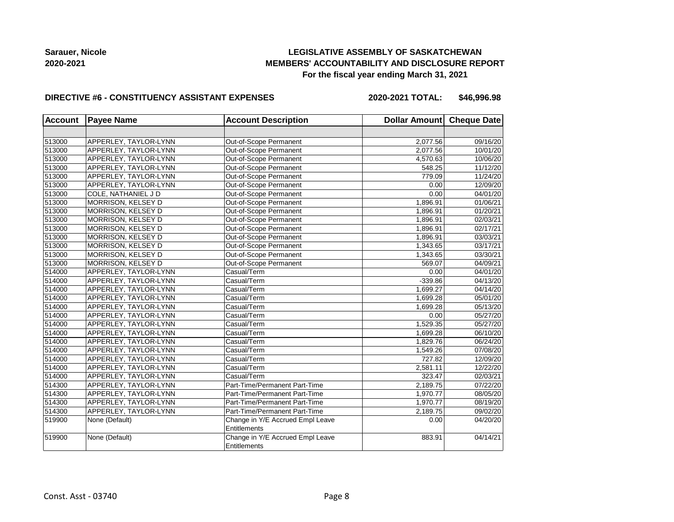## **LEGISLATIVE ASSEMBLY OF SASKATCHEWAN MEMBERS' ACCOUNTABILITY AND DISCLOSURE REPORT For the fiscal year ending March 31, 2021**

#### **DIRECTIVE #6 - CONSTITUENCY ASSISTANT EXPENSES**

**2020-2021 TOTAL: \$46,996.98**

| <b>Account</b> | <b>Payee Name</b>     | <b>Account Description</b>                              | Dollar Amount Cheque Date |          |
|----------------|-----------------------|---------------------------------------------------------|---------------------------|----------|
|                |                       |                                                         |                           |          |
| 513000         | APPERLEY, TAYLOR-LYNN | Out-of-Scope Permanent                                  | 2,077.56                  | 09/16/20 |
| 513000         | APPERLEY, TAYLOR-LYNN | Out-of-Scope Permanent                                  | 2,077.56                  | 10/01/20 |
| 513000         | APPERLEY, TAYLOR-LYNN | Out-of-Scope Permanent                                  | 4,570.63                  | 10/06/20 |
| 513000         | APPERLEY, TAYLOR-LYNN | Out-of-Scope Permanent                                  | 548.25                    | 11/12/20 |
| 513000         | APPERLEY, TAYLOR-LYNN | Out-of-Scope Permanent                                  | 779.09                    | 11/24/20 |
| 513000         | APPERLEY, TAYLOR-LYNN | Out-of-Scope Permanent                                  | 0.00                      | 12/09/20 |
| 513000         | COLE, NATHANIEL J D   | Out-of-Scope Permanent                                  | 0.00                      | 04/01/20 |
| 513000         | MORRISON, KELSEY D    | Out-of-Scope Permanent                                  | 1,896.91                  | 01/06/21 |
| 513000         | MORRISON, KELSEY D    | Out-of-Scope Permanent                                  | 1,896.91                  | 01/20/21 |
| 513000         | MORRISON, KELSEY D    | Out-of-Scope Permanent                                  | 1,896.91                  | 02/03/21 |
| 513000         | MORRISON, KELSEY D    | Out-of-Scope Permanent                                  | 1,896.91                  | 02/17/21 |
| 513000         | MORRISON, KELSEY D    | Out-of-Scope Permanent                                  | 1,896.91                  | 03/03/21 |
| 513000         | MORRISON, KELSEY D    | Out-of-Scope Permanent                                  | 1,343.65                  | 03/17/21 |
| 513000         | MORRISON, KELSEY D    | Out-of-Scope Permanent                                  | 1,343.65                  | 03/30/21 |
| 513000         | MORRISON, KELSEY D    | Out-of-Scope Permanent                                  | 569.07                    | 04/09/21 |
| 514000         | APPERLEY, TAYLOR-LYNN | Casual/Term                                             | 0.00                      | 04/01/20 |
| 514000         | APPERLEY, TAYLOR-LYNN | Casual/Term                                             | $-339.86$                 | 04/13/20 |
| 514000         | APPERLEY, TAYLOR-LYNN | Casual/Term                                             | 1,699.27                  | 04/14/20 |
| 514000         | APPERLEY, TAYLOR-LYNN | Casual/Term                                             | 1,699.28                  | 05/01/20 |
| 514000         | APPERLEY, TAYLOR-LYNN | Casual/Term                                             | 1,699.28                  | 05/13/20 |
| 514000         | APPERLEY, TAYLOR-LYNN | Casual/Term                                             | 0.00                      | 05/27/20 |
| 514000         | APPERLEY, TAYLOR-LYNN | Casual/Term                                             | 1,529.35                  | 05/27/20 |
| 514000         | APPERLEY, TAYLOR-LYNN | Casual/Term                                             | 1,699.28                  | 06/10/20 |
| 514000         | APPERLEY, TAYLOR-LYNN | Casual/Term                                             | 1,829.76                  | 06/24/20 |
| 514000         | APPERLEY, TAYLOR-LYNN | Casual/Term                                             | 1,549.26                  | 07/08/20 |
| 514000         | APPERLEY, TAYLOR-LYNN | Casual/Term                                             | 727.82                    | 12/09/20 |
| 514000         | APPERLEY, TAYLOR-LYNN | Casual/Term                                             | 2,581.11                  | 12/22/20 |
| 514000         | APPERLEY, TAYLOR-LYNN | Casual/Term                                             | 323.47                    | 02/03/21 |
| 514300         | APPERLEY, TAYLOR-LYNN | Part-Time/Permanent Part-Time                           | 2,189.75                  | 07/22/20 |
| 514300         | APPERLEY, TAYLOR-LYNN | Part-Time/Permanent Part-Time                           | 1.970.77                  | 08/05/20 |
| 514300         | APPERLEY, TAYLOR-LYNN | Part-Time/Permanent Part-Time                           | 1,970.77                  | 08/19/20 |
| 514300         | APPERLEY, TAYLOR-LYNN | Part-Time/Permanent Part-Time                           | 2,189.75                  | 09/02/20 |
| 519900         | None (Default)        | Change in Y/E Accrued Empl Leave<br><b>Entitlements</b> | 0.00                      | 04/20/20 |
| 519900         | None (Default)        | Change in Y/E Accrued Empl Leave<br><b>Entitlements</b> | 883.91                    | 04/14/21 |